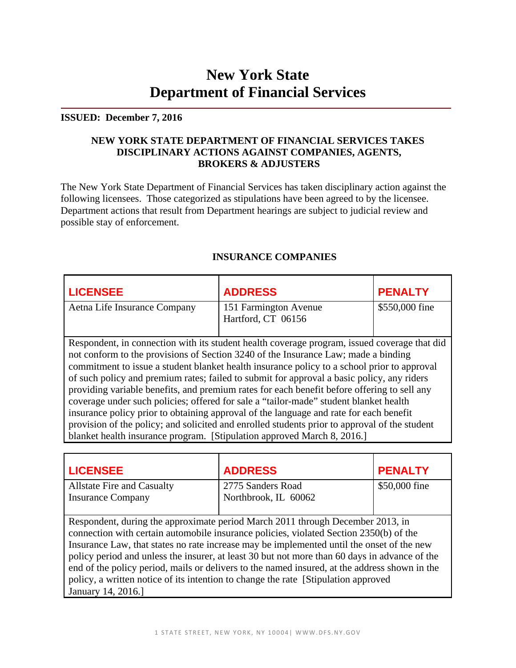# **New York State Department of Financial Services**

#### **ISSUED: December 7, 2016**

## **NEW YORK STATE DEPARTMENT OF FINANCIAL SERVICES TAKES DISCIPLINARY ACTIONS AGAINST COMPANIES, AGENTS, BROKERS & ADJUSTERS**

The New York State Department of Financial Services has taken disciplinary action against the following licensees. Those categorized as stipulations have been agreed to by the licensee. Department actions that result from Department hearings are subject to judicial review and possible stay of enforcement.

| <b>LICENSEE</b>                                                                                                                                                                                                                                                                                                                                                                                                                                                                                                                                                                                                                                                                                                                                                    | <b>ADDRESS</b>                              | <b>PENALTY</b> |
|--------------------------------------------------------------------------------------------------------------------------------------------------------------------------------------------------------------------------------------------------------------------------------------------------------------------------------------------------------------------------------------------------------------------------------------------------------------------------------------------------------------------------------------------------------------------------------------------------------------------------------------------------------------------------------------------------------------------------------------------------------------------|---------------------------------------------|----------------|
| Aetna Life Insurance Company                                                                                                                                                                                                                                                                                                                                                                                                                                                                                                                                                                                                                                                                                                                                       | 151 Farmington Avenue<br>Hartford, CT 06156 | \$550,000 fine |
|                                                                                                                                                                                                                                                                                                                                                                                                                                                                                                                                                                                                                                                                                                                                                                    |                                             |                |
| Respondent, in connection with its student health coverage program, issued coverage that did<br>not conform to the provisions of Section 3240 of the Insurance Law; made a binding<br>commitment to issue a student blanket health insurance policy to a school prior to approval<br>of such policy and premium rates; failed to submit for approval a basic policy, any riders<br>providing variable benefits, and premium rates for each benefit before offering to sell any<br>coverage under such policies; offered for sale a "tailor-made" student blanket health<br>insurance policy prior to obtaining approval of the language and rate for each benefit<br>provision of the policy; and solicited and enrolled students prior to approval of the student |                                             |                |

## **INSURANCE COMPANIES**

| <b>LICENSEE</b>                                               | <b>ADDRESS</b>                            | <b>PENALTY</b> |
|---------------------------------------------------------------|-------------------------------------------|----------------|
| <b>Allstate Fire and Casualty</b><br><b>Insurance Company</b> | 2775 Sanders Road<br>Northbrook, IL 60062 | \$50,000 fine  |

Respondent, during the approximate period March 2011 through December 2013, in connection with certain automobile insurance policies, violated Section 2350(b) of the Insurance Law, that states no rate increase may be implemented until the onset of the new policy period and unless the insurer, at least 30 but not more than 60 days in advance of the end of the policy period, mails or delivers to the named insured, at the address shown in the policy, a written notice of its intention to change the rate [Stipulation approved January 14, 2016.]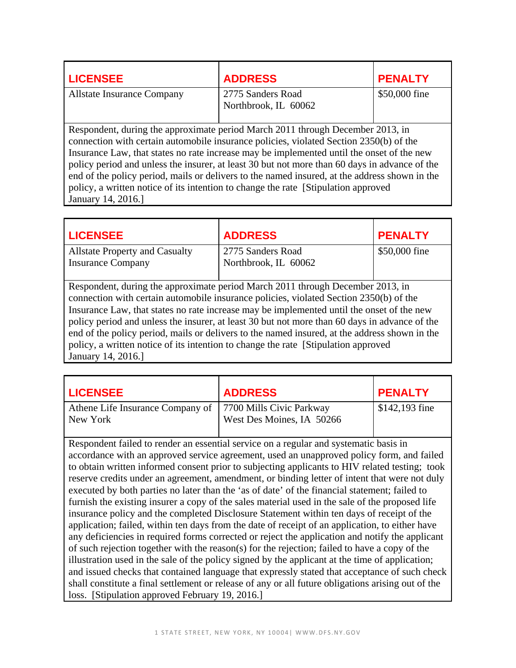| <b>LICENSEE</b>                                                                                                                                                          | <b>ADDRESS</b>       | <b>PENALTY</b> |
|--------------------------------------------------------------------------------------------------------------------------------------------------------------------------|----------------------|----------------|
| <b>Allstate Insurance Company</b>                                                                                                                                        | 2775 Sanders Road    | \$50,000 fine  |
|                                                                                                                                                                          | Northbrook, IL 60062 |                |
|                                                                                                                                                                          |                      |                |
| Respondent, during the approximate period March 2011 through December 2013, in<br>connection with certain automobile insurance policies, violated Section 2350(b) of the |                      |                |
| Insurance Law, that states no rate increase may be implemented until the onset of the new                                                                                |                      |                |
| policy period and unless the insurer, at least 30 but not more than 60 days in advance of the                                                                            |                      |                |
| end of the policy period, mails or delivers to the named insured, at the address shown in the                                                                            |                      |                |
| policy, a written notice of its intention to change the rate [Stipulation approved]                                                                                      |                      |                |

January 14, 2016.]

| <b>LICENSEE</b>                                                                               | <b>ADDRESS</b>       | <b>PENALTY</b> |
|-----------------------------------------------------------------------------------------------|----------------------|----------------|
| <b>Allstate Property and Casualty</b>                                                         | 2775 Sanders Road    | \$50,000 fine  |
| <b>Insurance Company</b>                                                                      | Northbrook, IL 60062 |                |
|                                                                                               |                      |                |
| Respondent, during the approximate period March 2011 through December 2013, in                |                      |                |
| connection with certain automobile insurance policies, violated Section 2350(b) of the        |                      |                |
| Insurance Law, that states no rate increase may be implemented until the onset of the new     |                      |                |
| policy period and unless the insurer, at least 30 but not more than 60 days in advance of the |                      |                |
| end of the policy period, mails or delivers to the named insured, at the address shown in the |                      |                |
| policy, a written notice of its intention to change the rate [Stipulation approved]           |                      |                |
| January 14, 2016.                                                                             |                      |                |

| <b>LICENSEE</b>                                                         | <b>ADDRESS</b>            | <b>PENALTY</b>  |
|-------------------------------------------------------------------------|---------------------------|-----------------|
| Athene Life Insurance Company of   7700 Mills Civic Parkway<br>New York | West Des Moines, IA 50266 | $$142,193$ fine |

Respondent failed to render an essential service on a regular and systematic basis in accordance with an approved service agreement, used an unapproved policy form, and failed to obtain written informed consent prior to subjecting applicants to HIV related testing; took reserve credits under an agreement, amendment, or binding letter of intent that were not duly executed by both parties no later than the 'as of date' of the financial statement; failed to furnish the existing insurer a copy of the sales material used in the sale of the proposed life insurance policy and the completed Disclosure Statement within ten days of receipt of the application; failed, within ten days from the date of receipt of an application, to either have any deficiencies in required forms corrected or reject the application and notify the applicant of such rejection together with the reason(s) for the rejection; failed to have a copy of the illustration used in the sale of the policy signed by the applicant at the time of application; and issued checks that contained language that expressly stated that acceptance of such check shall constitute a final settlement or release of any or all future obligations arising out of the loss. [Stipulation approved February 19, 2016.]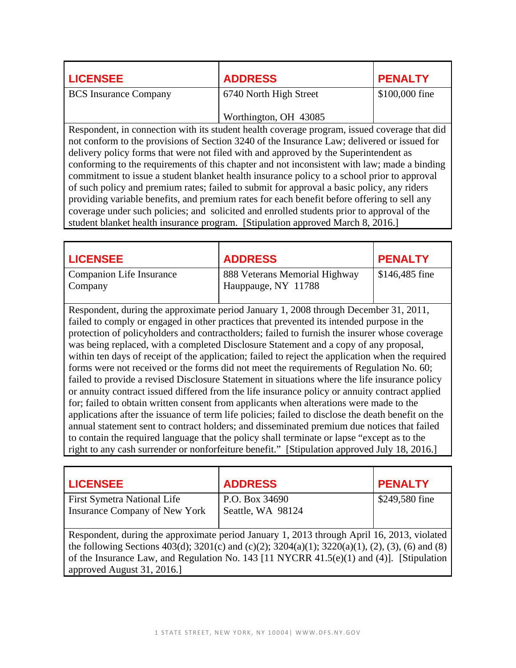| <b>LICENSEE</b>              | <b>ADDRESS</b>         | <b>PENALTY</b> |
|------------------------------|------------------------|----------------|
| <b>BCS</b> Insurance Company | 6740 North High Street | \$100,000 fine |
|                              | Worthington, OH 43085  |                |

Respondent, in connection with its student health coverage program, issued coverage that did not conform to the provisions of Section 3240 of the Insurance Law; delivered or issued for delivery policy forms that were not filed with and approved by the Superintendent as conforming to the requirements of this chapter and not inconsistent with law; made a binding commitment to issue a student blanket health insurance policy to a school prior to approval of such policy and premium rates; failed to submit for approval a basic policy, any riders providing variable benefits, and premium rates for each benefit before offering to sell any coverage under such policies; and solicited and enrolled students prior to approval of the student blanket health insurance program. [Stipulation approved March 8, 2016.]

| <b>LICENSEE</b>                     | <b>ADDRESS</b>                                       | <b>PENALTY</b>  |
|-------------------------------------|------------------------------------------------------|-----------------|
| Companion Life Insurance<br>Company | 888 Veterans Memorial Highway<br>Hauppauge, NY 11788 | $$146,485$ fine |

Respondent, during the approximate period January 1, 2008 through December 31, 2011, failed to comply or engaged in other practices that prevented its intended purpose in the protection of policyholders and contractholders; failed to furnish the insurer whose coverage was being replaced, with a completed Disclosure Statement and a copy of any proposal, within ten days of receipt of the application; failed to reject the application when the required forms were not received or the forms did not meet the requirements of Regulation No. 60; failed to provide a revised Disclosure Statement in situations where the life insurance policy or annuity contract issued differed from the life insurance policy or annuity contract applied for; failed to obtain written consent from applicants when alterations were made to the applications after the issuance of term life policies; failed to disclose the death benefit on the annual statement sent to contract holders; and disseminated premium due notices that failed to contain the required language that the policy shall terminate or lapse "except as to the right to any cash surrender or nonforfeiture benefit." [Stipulation approved July 18, 2016.]

| <b>LICENSEE</b>                      | <b>ADDRESS</b>                                                                                   | <b>PENALTY</b> |
|--------------------------------------|--------------------------------------------------------------------------------------------------|----------------|
| <b>First Symetra National Life</b>   | P.O. Box 34690                                                                                   | \$249,580 fine |
| <b>Insurance Company of New York</b> | Seattle, WA 98124                                                                                |                |
|                                      |                                                                                                  |                |
|                                      | Respondent, during the approximate period January 1, 2013 through April 16, 2013, violated       |                |
|                                      | the following Sections 403(d); 3201(c) and (c)(2); 3204(a)(1); 3220(a)(1), (2), (3), (6) and (8) |                |
|                                      | of the Insurance Law, and Regulation No. 143 [11 NYCRR $41.5(e)(1)$ and (4)]. [Stipulation       |                |
| approved August 31, 2016.]           |                                                                                                  |                |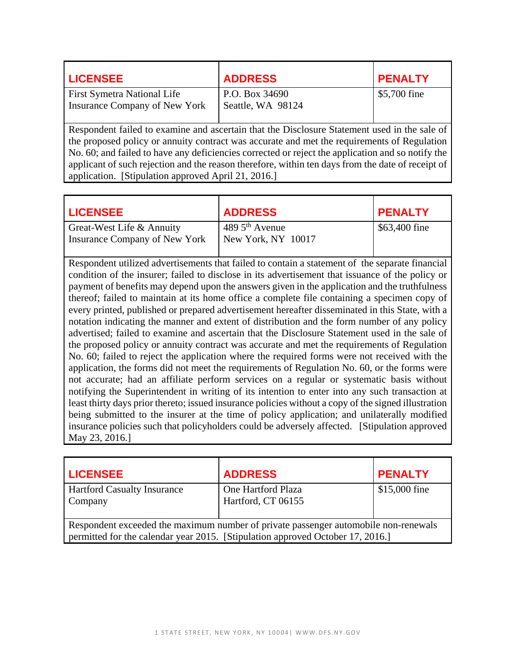| <b>LICENSEE</b>                    | <b>ADDRESS</b>    | <b>PENALTY</b> |
|------------------------------------|-------------------|----------------|
| <b>First Symetra National Life</b> | P.O. Box 34690    | \$5,700 fine   |
| Insurance Company of New York      | Seattle, WA 98124 |                |
|                                    |                   |                |

Respondent failed to examine and ascertain that the Disclosure Statement used in the sale of the proposed policy or annuity contract was accurate and met the requirements of Regulation No. 60; and failed to have any deficiencies corrected or reject the application and so notify the applicant of such rejection and the reason therefore, within ten days from the date of receipt of application. [Stipulation approved April 21, 2016.]

| <b>LICENSEE</b>                                            | <b>ADDRESS</b>                         | <b>PENALTY</b> |
|------------------------------------------------------------|----------------------------------------|----------------|
| Great-West Life & Annuity<br>Insurance Company of New York | 489 $5th$ Avenue<br>New York, NY 10017 | \$63,400 fine  |

Respondent utilized advertisements that failed to contain a statement of the separate financial condition of the insurer; failed to disclose in its advertisement that issuance of the policy or payment of benefits may depend upon the answers given in the application and the truthfulness thereof; failed to maintain at its home office a complete file containing a specimen copy of every printed, published or prepared advertisement hereafter disseminated in this State, with a notation indicating the manner and extent of distribution and the form number of any policy advertised; failed to examine and ascertain that the Disclosure Statement used in the sale of the proposed policy or annuity contract was accurate and met the requirements of Regulation No. 60; failed to reject the application where the required forms were not received with the application, the forms did not meet the requirements of Regulation No. 60, or the forms were not accurate; had an affiliate perform services on a regular or systematic basis without notifying the Superintendent in writing of its intention to enter into any such transaction at least thirty days prior thereto; issued insurance policies without a copy of the signed illustration being submitted to the insurer at the time of policy application; and unilaterally modified insurance policies such that policyholders could be adversely affected. [Stipulation approved May 23, 2016.]

| <b>LICENSEE</b>                                                                                                                                                       | <b>ADDRESS</b>                           | <b>PENALTY</b> |
|-----------------------------------------------------------------------------------------------------------------------------------------------------------------------|------------------------------------------|----------------|
| <b>Hartford Casualty Insurance</b><br>Company                                                                                                                         | One Hartford Plaza<br>Hartford, CT 06155 | \$15,000 fine  |
| Respondent exceeded the maximum number of private passenger automobile non-renewals<br>permitted for the calendar year 2015. [Stipulation approved October 17, 2016.] |                                          |                |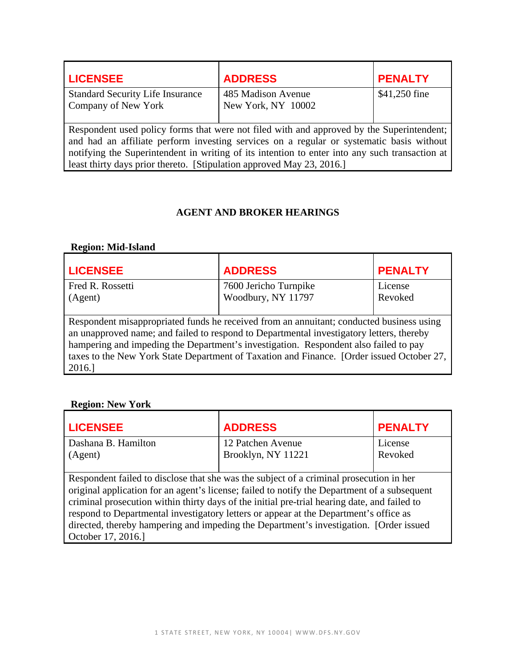| <b>LICENSEE</b>                                                                                                                                                                                                                                                                                                                                                  | <b>ADDRESS</b>     | <b>PENALTY</b> |
|------------------------------------------------------------------------------------------------------------------------------------------------------------------------------------------------------------------------------------------------------------------------------------------------------------------------------------------------------------------|--------------------|----------------|
| <b>Standard Security Life Insurance</b>                                                                                                                                                                                                                                                                                                                          | 485 Madison Avenue | \$41,250 fine  |
| Company of New York                                                                                                                                                                                                                                                                                                                                              | New York, NY 10002 |                |
| Respondent used policy forms that were not filed with and approved by the Superintendent;<br>and had an affiliate perform investing services on a regular or systematic basis without<br>notifying the Superintendent in writing of its intention to enter into any such transaction at<br>least thirty days prior thereto. [Stipulation approved May 23, 2016.] |                    |                |

## **AGENT AND BROKER HEARINGS**

# **Region: Mid-Island**

| <b>LICENSEE</b>                                                                           | <b>ADDRESS</b>        | <b>PENALTY</b> |
|-------------------------------------------------------------------------------------------|-----------------------|----------------|
| Fred R. Rossetti                                                                          | 7600 Jericho Turnpike | License        |
| (Agent)                                                                                   | Woodbury, NY 11797    | Revoked        |
|                                                                                           |                       |                |
| Respondent misappropriated funds he received from an annuitant; conducted business using  |                       |                |
| an unapproved name; and failed to respond to Departmental investigatory letters, thereby  |                       |                |
| hampering and impeding the Department's investigation. Respondent also failed to pay      |                       |                |
| taxes to the New York State Department of Taxation and Finance. [Order issued October 27, |                       |                |
| 2016.                                                                                     |                       |                |

# **Region: New York**

| <b>LICENSEE</b>                                                                              | <b>ADDRESS</b>     | <b>PENALTY</b> |
|----------------------------------------------------------------------------------------------|--------------------|----------------|
| Dashana B. Hamilton                                                                          | 12 Patchen Avenue  | License        |
| (Agent)                                                                                      | Brooklyn, NY 11221 | Revoked        |
|                                                                                              |                    |                |
| Respondent failed to disclose that she was the subject of a criminal prosecution in her      |                    |                |
| original application for an agent's license; failed to notify the Department of a subsequent |                    |                |
| criminal prosecution within thirty days of the initial pre-trial hearing date, and failed to |                    |                |
| respond to Departmental investigatory letters or appear at the Department's office as        |                    |                |
| directed, thereby hampering and impeding the Department's investigation. [Order issued       |                    |                |
| October 17, 2016.]                                                                           |                    |                |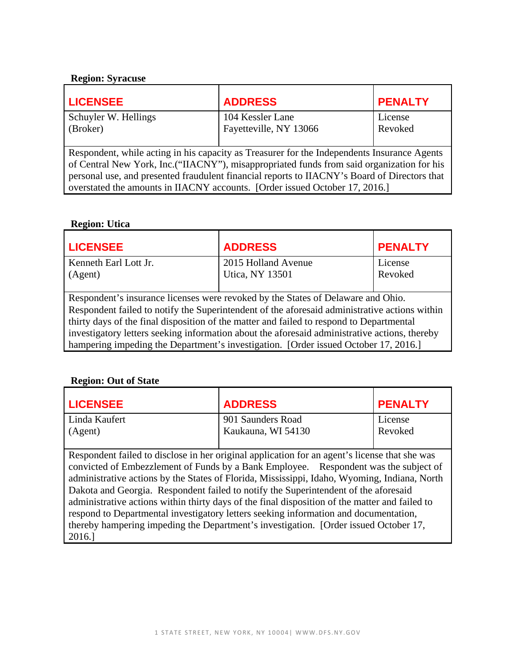#### **Region: Syracuse**

| <b>ADDRESS</b>                                                                               | <b>PENALTY</b> |  |
|----------------------------------------------------------------------------------------------|----------------|--|
| 104 Kessler Lane                                                                             | License        |  |
| Fayetteville, NY 13066                                                                       | Revoked        |  |
|                                                                                              |                |  |
| Respondent, while acting in his capacity as Treasurer for the Independents Insurance Agents  |                |  |
| of Central New York, Inc.("IIACNY"), misappropriated funds from said organization for his    |                |  |
| personal use, and presented fraudulent financial reports to IIACNY's Board of Directors that |                |  |
| overstated the amounts in IIACNY accounts. [Order issued October 17, 2016.]                  |                |  |
|                                                                                              |                |  |

#### **Region: Utica**

| <b>LICENSEE</b>                                                                               | <b>ADDRESS</b>         | <b>PENALTY</b> |
|-----------------------------------------------------------------------------------------------|------------------------|----------------|
| Kenneth Earl Lott Jr.                                                                         | 2015 Holland Avenue    | License        |
| (Agent)                                                                                       | <b>Utica, NY 13501</b> | Revoked        |
|                                                                                               |                        |                |
| Respondent's insurance licenses were revoked by the States of Delaware and Ohio.              |                        |                |
| Respondent failed to notify the Superintendent of the aforesaid administrative actions within |                        |                |
| thirty days of the final disposition of the matter and failed to respond to Departmental      |                        |                |
| investigatory letters seeking information about the aforesaid administrative actions, thereby |                        |                |
| hampering impeding the Department's investigation. [Order issued October 17, 2016.]           |                        |                |

#### **Region: Out of State**

| <b>LICENSEE</b>                                                                               | <b>ADDRESS</b>                          | <b>PENALTY</b>     |
|-----------------------------------------------------------------------------------------------|-----------------------------------------|--------------------|
| Linda Kaufert<br>(Agent)                                                                      | 901 Saunders Road<br>Kaukauna, WI 54130 | License<br>Revoked |
| Respondent failed to disclose in her original application for an agent's license that she was |                                         |                    |

convicted of Embezzlement of Funds by a Bank Employee. Respondent was the subject of administrative actions by the States of Florida, Mississippi, Idaho, Wyoming, Indiana, North Dakota and Georgia. Respondent failed to notify the Superintendent of the aforesaid administrative actions within thirty days of the final disposition of the matter and failed to respond to Departmental investigatory letters seeking information and documentation, thereby hampering impeding the Department's investigation. [Order issued October 17, 2016.]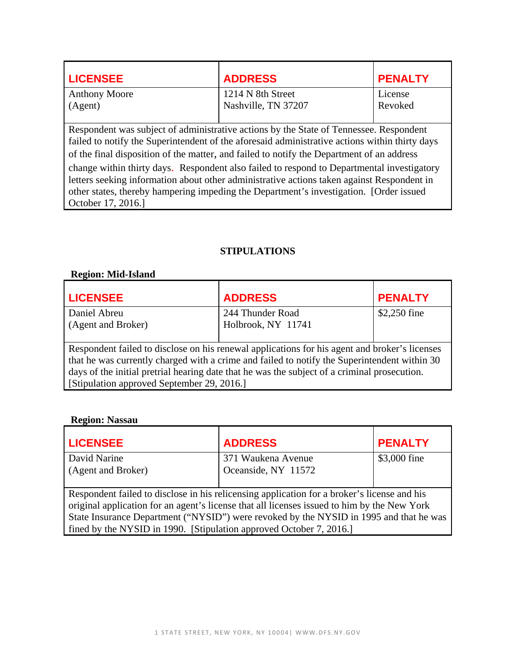| <b>LICENSEE</b>                                                                        | <b>ADDRESS</b>                           | <b>PENALTY</b>     |
|----------------------------------------------------------------------------------------|------------------------------------------|--------------------|
| <b>Anthony Moore</b><br>(Agent)                                                        | 1214 N 8th Street<br>Nashville, TN 37207 | License<br>Revoked |
| Respondent was subject of administrative actions by the State of Tennessee. Respondent |                                          |                    |

 of the final disposition of the matter, and failed to notify the Department of an address failed to notify the Superintendent of the aforesaid administrative actions within thirty days change within thirty days. Respondent also failed to respond to Departmental investigatory

letters seeking information about other administrative actions taken against Respondent in other states, thereby hampering impeding the Department's investigation. [Order issued October 17, 2016.]

## **STIPULATIONS**

## **Region: Mid-Island**

| <b>LICENSEE</b>                                                                               | <b>ADDRESS</b>     | <b>PENALTY</b> |
|-----------------------------------------------------------------------------------------------|--------------------|----------------|
| Daniel Abreu                                                                                  | 244 Thunder Road   | \$2,250 fine   |
| (Agent and Broker)                                                                            | Holbrook, NY 11741 |                |
|                                                                                               |                    |                |
| Respondent failed to disclose on his renewal applications for his agent and broker's licenses |                    |                |
| that he was currently charged with a crime and failed to notify the Superintendent within 30  |                    |                |
| days of the initial pretrial hearing date that he was the subject of a criminal prosecution.  |                    |                |
| [Stipulation approved September 29, 2016.]                                                    |                    |                |

#### **Region: Nassau**

| <b>LICENSEE</b>                                                                             | <b>ADDRESS</b>      | <b>PENALTY</b> |
|---------------------------------------------------------------------------------------------|---------------------|----------------|
| David Narine                                                                                | 371 Waukena Avenue  | \$3,000 fine   |
| (Agent and Broker)                                                                          | Oceanside, NY 11572 |                |
|                                                                                             |                     |                |
| Respondent failed to disclose in his relicensing application for a broker's license and his |                     |                |
| original application for an agent's license that all licenses issued to him by the New York |                     |                |
| State Insurance Department ("NYSID") were revoked by the NYSID in 1995 and that he was      |                     |                |
| fined by the NYSID in 1990. [Stipulation approved October 7, 2016.]                         |                     |                |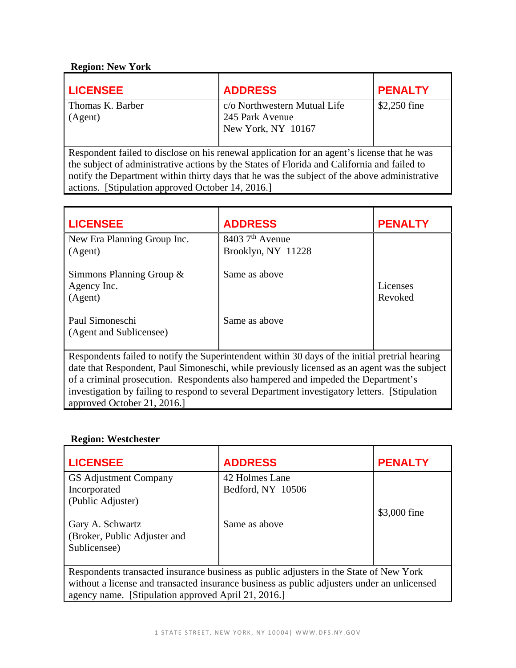## **Region: New York**

| <b>LICENSEE</b>             | <b>ADDRESS</b>                                                        | <b>PENALTY</b> |
|-----------------------------|-----------------------------------------------------------------------|----------------|
| Thomas K. Barber<br>(Agent) | c/o Northwestern Mutual Life<br>245 Park Avenue<br>New York, NY 10167 | $$2,250$ fine  |

Respondent failed to disclose on his renewal application for an agent's license that he was the subject of administrative actions by the States of Florida and California and failed to notify the Department within thirty days that he was the subject of the above administrative actions. [Stipulation approved October 14, 2016.]

| <b>LICENSEE</b>                                                                                                              | <b>ADDRESS</b>                | <b>PENALTY</b> |
|------------------------------------------------------------------------------------------------------------------------------|-------------------------------|----------------|
| New Era Planning Group Inc.                                                                                                  | $8403$ 7 <sup>th</sup> Avenue |                |
| (Agent)                                                                                                                      | Brooklyn, NY 11228            |                |
| Simmons Planning Group &                                                                                                     | Same as above                 |                |
| Agency Inc.                                                                                                                  |                               | Licenses       |
| (Agent)                                                                                                                      |                               | Revoked        |
| Paul Simoneschi<br>(Agent and Sublicensee)                                                                                   | Same as above                 |                |
| Respondents failed to notify the Superintendent within 30 days of the initial pretrial hearing                               |                               |                |
| date that Respondent, Paul Simoneschi, while previously licensed as an agent was the subject                                 |                               |                |
| of a criminal prosecution. Respondents also hampered and impeded the Department's                                            |                               |                |
| investigation by failing to respond to several Department investigatory letters. [Stipulation]<br>approved October 21, 2016. |                               |                |

#### **Region: Westchester**

| <b>LICENSEE</b>                                                                             | <b>ADDRESS</b>    | <b>PENALTY</b> |
|---------------------------------------------------------------------------------------------|-------------------|----------------|
| GS Adjustment Company                                                                       | 42 Holmes Lane    |                |
| Incorporated                                                                                | Bedford, NY 10506 |                |
| (Public Adjuster)                                                                           |                   |                |
|                                                                                             |                   | \$3,000 fine   |
| Gary A. Schwartz                                                                            | Same as above     |                |
| (Broker, Public Adjuster and                                                                |                   |                |
| Sublicensee)                                                                                |                   |                |
|                                                                                             |                   |                |
| Respondents transacted insurance business as public adjusters in the State of New York      |                   |                |
| without a license and transacted insurance business as public adjusters under an unlicensed |                   |                |
| agency name. [Stipulation approved April 21, 2016.]                                         |                   |                |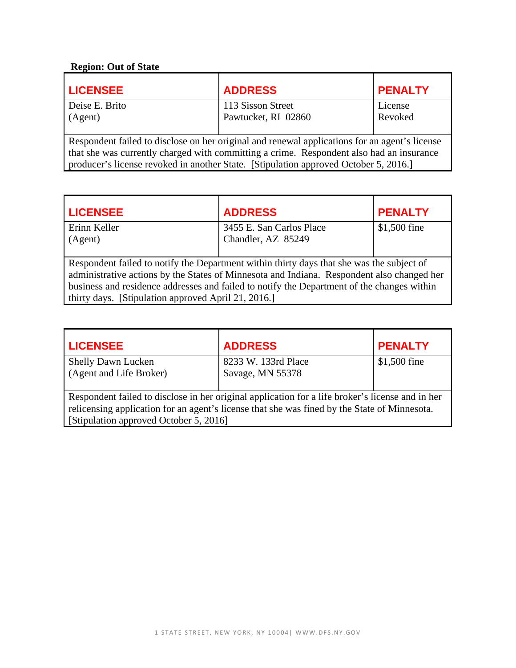# **Region: Out of State**

| <b>LICENSEE</b>                                                                               | <b>ADDRESS</b>      | <b>PENALTY</b> |
|-----------------------------------------------------------------------------------------------|---------------------|----------------|
| Deise E. Brito                                                                                | 113 Sisson Street   | License        |
| (Agent)                                                                                       | Pawtucket, RI 02860 | Revoked        |
|                                                                                               |                     |                |
| Respondent failed to disclose on her original and renewal applications for an agent's license |                     |                |
| that she was currently charged with committing a crime. Respondent also had an insurance      |                     |                |
| producer's license revoked in another State. [Stipulation approved October 5, 2016.]          |                     |                |

| <b>LICENSEE</b>                                                                            | <b>ADDRESS</b>           | <b>PENALTY</b> |  |
|--------------------------------------------------------------------------------------------|--------------------------|----------------|--|
| Erinn Keller                                                                               | 3455 E. San Carlos Place | \$1,500 fine   |  |
| (Agent)                                                                                    | Chandler, AZ 85249       |                |  |
|                                                                                            |                          |                |  |
| Respondent failed to notify the Department within thirty days that she was the subject of  |                          |                |  |
| administrative actions by the States of Minnesota and Indiana. Respondent also changed her |                          |                |  |
| business and residence addresses and failed to notify the Department of the changes within |                          |                |  |
| thirty days. [Stipulation approved April 21, 2016.]                                        |                          |                |  |

| <b>LICENSEE</b>                                                                                  | <b>ADDRESS</b>      | <b>PENALTY</b> |  |
|--------------------------------------------------------------------------------------------------|---------------------|----------------|--|
| <b>Shelly Dawn Lucken</b>                                                                        | 8233 W. 133rd Place | $$1,500$ fine  |  |
| (Agent and Life Broker)                                                                          | Savage, MN 55378    |                |  |
| Respondent failed to disclose in her original application for a life broker's license and in her |                     |                |  |
| relicensing application for an agent's license that she was fined by the State of Minnesota.     |                     |                |  |
| [Stipulation approved October 5, 2016]                                                           |                     |                |  |